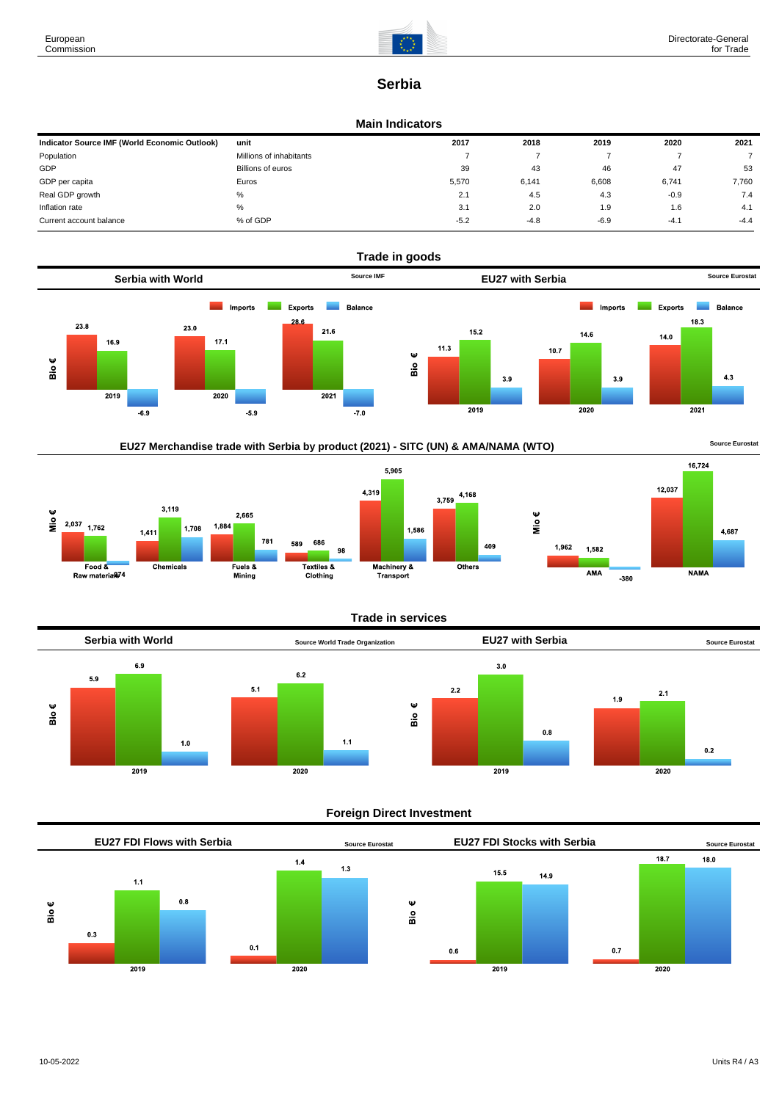

# **Serbia**

#### **Main Indicators**

| Indicator Source IMF (World Economic Outlook) | unit                    | 2017   | 2018   | 2019   | 2020   | 2021   |
|-----------------------------------------------|-------------------------|--------|--------|--------|--------|--------|
| Population                                    | Millions of inhabitants |        |        |        |        |        |
| GDP                                           | Billions of euros       | 39     | 43     | 46     | 47     | 53     |
| GDP per capita                                | Euros                   | 5.570  | 6.141  | 6,608  | 6.741  | 7,760  |
| Real GDP growth                               | %                       | 2.1    | 4.5    | 4.3    | $-0.9$ | 7.4    |
| Inflation rate                                | $\%$                    | 3.1    | 2.0    | 1.9    | 1.6    | 4.1    |
| Current account balance                       | % of GDP                | $-5.2$ | $-4.8$ | $-6.9$ | $-4.1$ | $-4.4$ |







# **Trade in services**



# **Foreign Direct Investment**